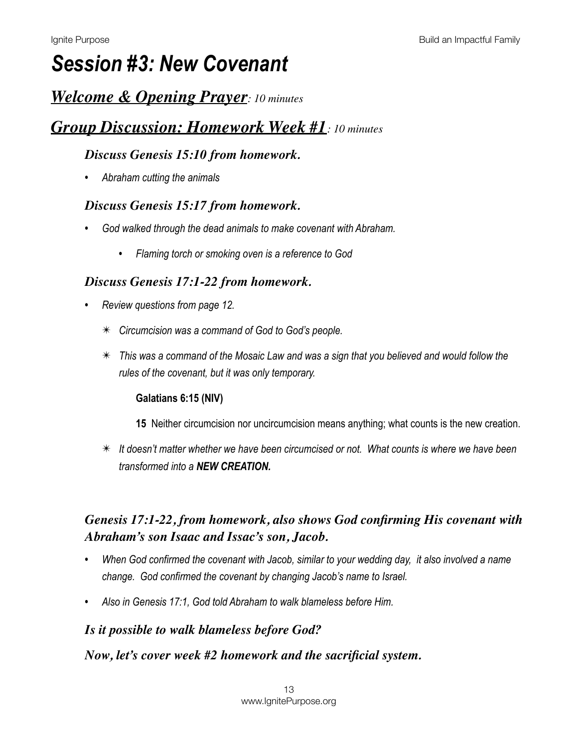# *Session #3: New Covenant*

## *Welcome & Opening Prayer: 10 minutes*

## *Group Discussion: Homework Week #1: 10 minutes*

### *Discuss Genesis 15:10 from homework.*

*• Abraham cutting the animals* 

### *Discuss Genesis 15:17 from homework.*

- *• God walked through the dead animals to make covenant with Abraham.* 
	- *• Flaming torch or smoking oven is a reference to God*

### *Discuss Genesis 17:1-22 from homework.*

- *• Review questions from page 12.* 
	- ✴ *Circumcision was a command of God to God's people.*
	- ✴ *This was a command of the Mosaic Law and was a sign that you believed and would follow the rules of the covenant, but it was only temporary.*

### **Galatians 6:15 (NIV)**

- **15** Neither circumcision nor uncircumcision means anything; what counts is the new creation.
- ✴ *It doesn't matter whether we have been circumcised or not. What counts is where we have been transformed into a NEW CREATION.*

### *Genesis 17:1-22, from homework, also shows God confirming His covenant with Abraham's son Isaac and Issac's son, Jacob.*

- *• When God confirmed the covenant with Jacob, similar to your wedding day, it also involved a name change. God confirmed the covenant by changing Jacob's name to Israel.*
- *• Also in Genesis 17:1, God told Abraham to walk blameless before Him.*

### *Is it possible to walk blameless before God?*

### *Now, let's cover week #2 homework and the sacrificial system.*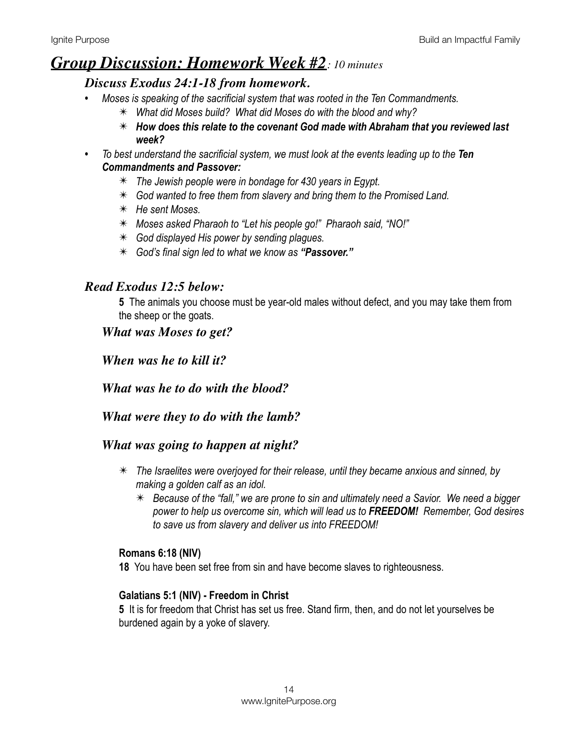### *Group Discussion: Homework Week #2: 10 minutes*

### *Discuss Exodus 24:1-18 from homework.*

- *• Moses is speaking of the sacrificial system that was rooted in the Ten Commandments.* 
	- ✴ *What did Moses build? What did Moses do with the blood and why?*
	- ✴ *How does this relate to the covenant God made with Abraham that you reviewed last week?*
- To best understand the sacrificial system, we must look at the events leading up to the **Ten** *Commandments and Passover:* 
	- ✴ *The Jewish people were in bondage for 430 years in Egypt.*
	- ✴ *God wanted to free them from slavery and bring them to the Promised Land.*
	- ✴ *He sent Moses.*
	- ✴ *Moses asked Pharaoh to "Let his people go!" Pharaoh said, "NO!"*
	- ✴ *God displayed His power by sending plagues.*
	- ✴ *God's final sign led to what we know as "Passover."*

### *Read Exodus 12:5 below:*

**5** The animals you choose must be year-old males without defect, and you may take them from the sheep or the goats.

### *What was Moses to get?*

*When was he to kill it?*

*What was he to do with the blood?*

### *What were they to do with the lamb?*

### *What was going to happen at night?*

- ✴ *The Israelites were overjoyed for their release, until they became anxious and sinned, by making a golden calf as an idol.* 
	- ✴ *Because of the "fall," we are prone to sin and ultimately need a Savior. We need a bigger power to help us overcome sin, which will lead us to FREEDOM! Remember, God desires to save us from slavery and deliver us into FREEDOM!*

### **Romans 6:18 (NIV)**

**18** You have been set free from sin and have become slaves to righteousness.

### **Galatians 5:1 (NIV) - Freedom in Christ**

**5** It is for freedom that Christ has set us free. Stand firm, then, and do not let yourselves be burdened again by a yoke of slavery.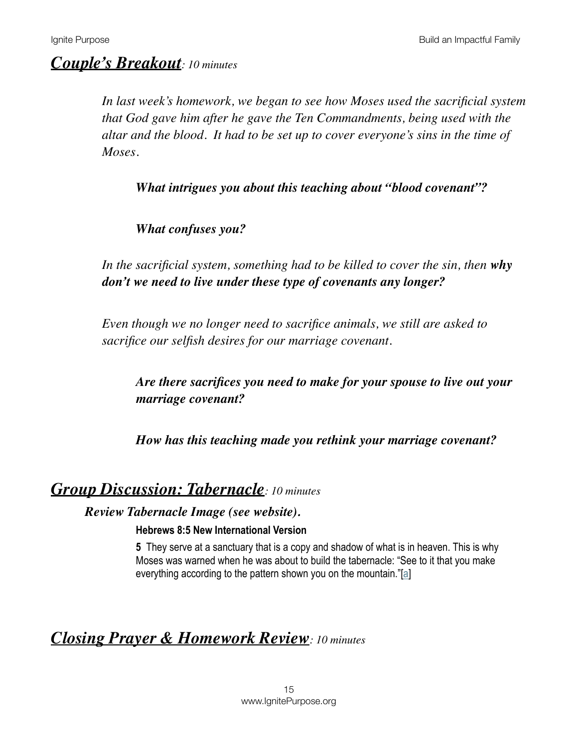## *Couple's Breakout: 10 minutes*

*In last week's homework, we began to see how Moses used the sacrificial system that God gave him after he gave the Ten Commandments, being used with the altar and the blood. It had to be set up to cover everyone's sins in the time of Moses.* 

*What intrigues you about this teaching about "blood covenant"?* 

*What confuses you?*

*In the sacrificial system, something had to be killed to cover the sin, then why don't we need to live under these type of covenants any longer?*

*Even though we no longer need to sacrifice animals, we still are asked to sacrifice our selfish desires for our marriage covenant.* 

*Are there sacrifices you need to make for your spouse to live out your marriage covenant?* 

*How has this teaching made you rethink your marriage covenant?*

### *Group Discussion: Tabernacle: 10 minutes*

*Review Tabernacle Image (see website).*

### **Hebrews 8:5 New International Version**

**5** They serve at a sanctuary that is a copy and shadow of what is in heaven. This is why Moses was warned when he was about to build the tabernacle: "See to it that you make everything according to the pattern shown you on the mountain."[\[a\]](https://www.biblegateway.com/passage/?search=Hebrews+8%3A5&version=NIV#fen-NIV-30098a)

## *Closing Prayer & Homework Review: 10 minutes*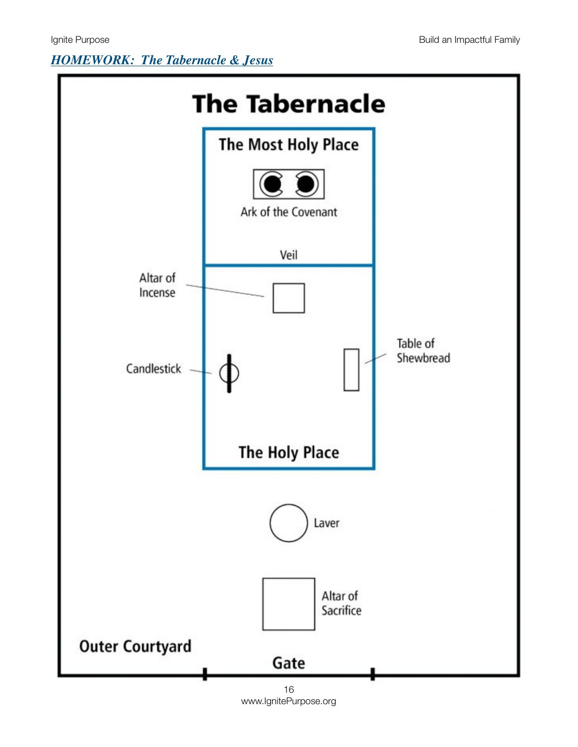## *HOMEWORK: The Tabernacle & Jesus*



www.IgnitePurpose.org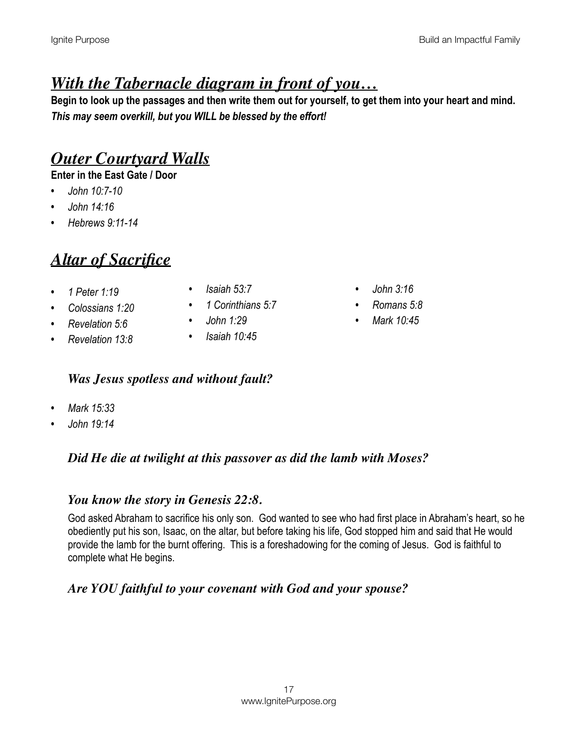# *With the Tabernacle diagram in front of you…*

**Begin to look up the passages and then write them out for yourself, to get them into your heart and mind.**  *This may seem overkill, but you WILL be blessed by the effort!* 

# *Outer Courtyard Walls*

**Enter in the East Gate / Door** 

- *• John 10:7-10*
- *• John 14:16*
- *• Hebrews 9:11-14*

# *Altar of Sacrifice*

- *• 1 Peter 1:19*
- *• Colossians 1:20 • Revelation 5:6*
- *• Isaiah 53:7*
- *• 1 Corinthians 5:7*
- *• John 1:29*
- *• Revelation 13:8*
- *• Isaiah 10:45*

### *Was Jesus spotless and without fault?*

- *• Mark 15:33*
- *• John 19:14*

### *Did He die at twilight at this passover as did the lamb with Moses?*

### *You know the story in Genesis 22:8.*

God asked Abraham to sacrifice his only son. God wanted to see who had first place in Abraham's heart, so he obediently put his son, Isaac, on the altar, but before taking his life, God stopped him and said that He would provide the lamb for the burnt offering. This is a foreshadowing for the coming of Jesus. God is faithful to complete what He begins.

### *Are YOU faithful to your covenant with God and your spouse?*

- *• John 3:16*
- *• Romans 5:8*
- *• Mark 10:45*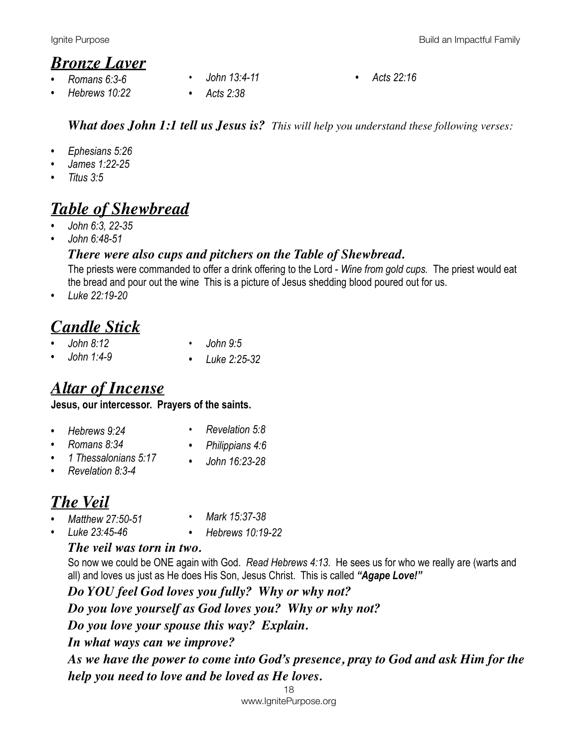## *Bronze Laver*

- *• Romans 6:3-6*
- *• Hebrews 10:22*
- - *• John 13:4-11 • Acts 22:16*
- *• Acts 2:38*

### *What does John 1:1 tell us Jesus is? This will help you understand these following verses:*

- *• Ephesians 5:26*
- *• James 1:22-25*
- *• Titus 3:5*

# *Table of Shewbread*

- *• John 6:3, 22-35*
- *• John 6:48-51*

### *There were also cups and pitchers on the Table of Shewbread.*

The priests were commanded to offer a drink offering to the Lord - *Wine from gold cups.* The priest would eat the bread and pour out the wine This is a picture of Jesus shedding blood poured out for us.

*• Luke 22:19-20* 

### *Candle Stick • John 8:12*

- *• John 9:5*
- *• John 1:4-9*

*• Luke 2:25-32*

# *Altar of Incense*

### **Jesus, our intercessor. Prayers of the saints.**

- *• Hebrews 9:24*
- *• Romans 8:34*
- *• 1 Thessalonians 5:17*
- *• Revelation 8:3-4*
- *• John 16:23-28*

*• Revelation 5:8 • Philippians 4:6* 

# *The Veil*

- *• Matthew 27:50-51*
- *• Mark 15:37-38*
- *• Luke 23:45-46*
- *• Hebrews 10:19-22*

### *The veil was torn in two.*

So now we could be ONE again with God. *Read Hebrews 4:13.* He sees us for who we really are (warts and all) and loves us just as He does His Son, Jesus Christ. This is called *"Agape Love!"*

*Do YOU feel God loves you fully? Why or why not? Do you love yourself as God loves you? Why or why not? Do you love your spouse this way? Explain. In what ways can we improve? As we have the power to come into God's presence, pray to God and ask Him for the help you need to love and be loved as He loves.* 

> 18 www.IgnitePurpose.org